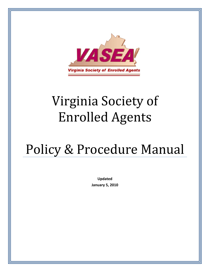

# Virginia Society of Enrolled Agents

# Policy & Procedure Manual

**Updated January 5, 2010**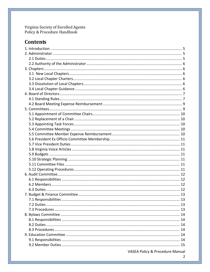Virginia Society of Enrolled Agents<br>Policy & Procedure Handbook

# **Contents**

| VASEA Policy & Procedure Manual |  |
|---------------------------------|--|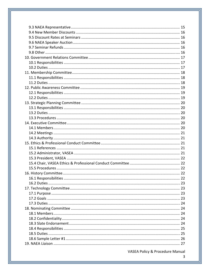VASEA Policy & Procedure Manual

 $\overline{3}$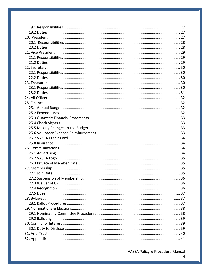| 27.2 Suspension of Membership | 36. |
|-------------------------------|-----|
|                               |     |
|                               |     |
|                               |     |
|                               |     |
|                               |     |
|                               |     |
|                               |     |
|                               |     |
|                               |     |
|                               |     |
|                               |     |
|                               |     |

VASEA Policy & Procedure Manual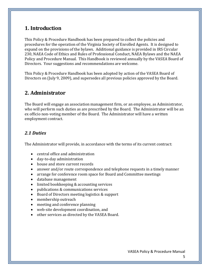# **1. Introduction**

This Policy & Procedure Handbook has been prepared to collect the policies and procedures for the operation of the Virginia Society of Enrolled Agents. It is designed to expand on the provisions of the bylaws. Additional guidance is provided in IRS Circular 230, NAEA Code of Ethics and Rules of Professional Conduct, NAEA Bylaws and the NAEA Policy and Procedure Manual. This Handbook is reviewed annually by the VASEA Board of Directors. Your suggestions and recommendations are welcome.

This Policy & Procedure Handbook has been adopted by action of the VASEA Board of Directors on (July 9, 2009), and supersedes all previous policies approved by the Board.

# **2. Administrator**

The Board will engage an association management firm, or an employee, as Administrator, who will perform such duties as are prescribed by the Board. The Administrator will be an ex officio non‐voting member of the Board. The Administrator will have a written employment contract.

#### *2.1 Duties*

The Administrator will provide, in accordance with the terms of its current contract:

- central office and administration
- day-to-day administration
- house and store current records
- answer and/or route correspondence and telephone requests in a timely manner
- arrange for conference room space for Board and Committee meetings
- database management
- limited bookkeeping & accounting services
- publications & communications services
- Board of Directors meeting logistics & support
- membership outreach
- meeting and conference planning
- web-site development coordination, and
- other services as directed by the VASEA Board.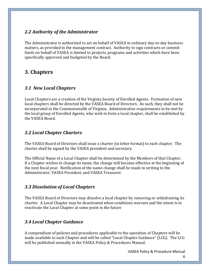## *2.2 Authority of the Administrator*

The Administrator is authorized to act on behalf of VASEA in ordinary day-to-day business matters, as provided in the management contract. Authority to sign contracts or commit funds on behalf of VASEA is limited to projects, programs and activities which have been specifically approved and budgeted by the Board.

# **3. Chapters**

#### *3.1 New Local Chapters*

Local Chapters are a creation of the Virginia Society of Enrolled Agents. Formation of new local chapters shall be directed by the VASEA Board of Directors. As such, they shall not be incorporated in the Commonwealth of Virginia. Administrative requirements to be met by the local group of Enrolled Agents, who wish to form a local chapter, shall be established by the VASEA Board.

#### *3.2 Local Chapter Charters*

The VASEA Board of Directors shall issue a charter (in letter format) to each chapter. The charter shall be signed by the VASEA president and secretary.

The Official Name of a Local Chapter shall be determined by the Members of that Chapter. If a Chapter wishes to change its name, the change will become effective at the beginning of the next fiscal year. Notification of the name change shall be made in writing to the Administrator, VASEA President, and VASEA Treasurer.

#### *3.3 Dissolution of Local Chapters*

The VASEA Board of Directors may dissolve a local chapter by removing or withdrawing its charter. A Local Chapter may be deactivated when conditions warrant and the intent is to reactivate the Local Chapter at some point in the future

# *3.4 Local Chapter Guidance*

A compendium of policies and procedures applicable to the operation of Chapters will be made available to each Chapter and will be called "Local Chapter Guidance" (LCG). The LCG will be published annually in the VASEA Policy & Procedures Manual.

VASEA Policy & Procedure Manual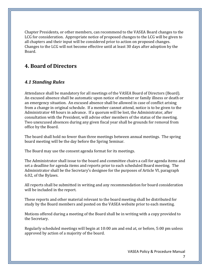Chapter Presidents, or other members, can recommend to the VASEA Board changes to the LCG for consideration. Appropriate notice of proposed changes to the LCG will be given to all chapters and their input will be considered prior to action on proposed changes. Changes to the LCG will not become effective until at least 30 days after adoption by the Board.

# **4. Board of Directors**

#### *4.1 Standing Rules*

Attendance shall be mandatory for all meetings of the VASEA Board of Directors (Board). An excused absence shall be automatic upon notice of member or family illness or death or an emergency situation. An excused absence shall be allowed in case of conflict arising from a change in original schedule. If a member cannot attend, notice is to be given to the Administrator 48 hours in advance. If a quorum will be lost, the Administrator, after consultation with the President, will advise other members of the status of the meeting. Two unexcused absences during any given fiscal year shall be grounds for removal from office by the Board.

The board shall hold no fewer than three meetings between annual meetings. The spring board meeting will be the day before the Spring Seminar.

The Board may use the consent agenda format for its meetings.

The Administrator shall issue to the board and committee chairs a call for agenda items and set a deadline for agenda items and reports prior to each scheduled Board meeting. The Administrator shall be the Secretary's designee for the purposes of Article VI, paragraph 6.02, of the Bylaws.

All reports shall be submitted in writing and any recommendation for board consideration will be included in the report.

These reports and other material relevant to the board meeting shall be distributed for study by the Board members and posted on the VASEA website prior to each meeting.

Motions offered during a meeting of the Board shall be in writing with a copy provided to the Secretary.

Regularly scheduled meetings will begin at 10:00 am and end at, or before, 5:00 pm unless approved by action of a majority of the board.

VASEA Policy & Procedure Manual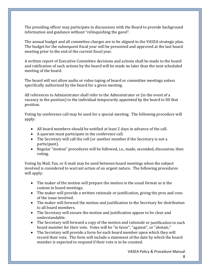The presiding officer may participate in discussions with the Board to provide background information and guidance without "relinquishing the gavel".

The annual budget and all committee charges are to be aligned to the VASEA strategic plan. The budget for the subsequent fiscal year will be presented and approved at the last board meeting prior to the end of the current fiscal year.

A written report of Executive Committee decisions and actions shall be made to the board and ratification of such actions by the board will be made no later than the next scheduled meeting of the board.

The board will not allow audio or video taping of board or committee meetings unless specifically authorized by the board for a given meeting.

All references to Administrator shall refer to the Administrator or (in the event of a vacancy in the position) to the individual temporarily appointed by the board to fill that position.

Voting by conference call may be used for a special meeting. The following procedure will apply:

- All board members should be notified at least 2 days in advance of the call.
- A quorum must participate in the conference call.
- The Secretary will call the roll (or another member if the Secretary is not a participant).
- Regular "motion" procedures will be followed, i.e., made, seconded, discussion, then voting.

Voting by Mail, Fax, or E‐mail may be used between board meetings when the subject involved is considered to warrant action of an urgent nature. The following procedures will apply:

- The maker of the motion will prepare the motion in the usual format as is the custom in board meetings.
- The maker will provide a written rationale or justification, giving the pros and cons of the issue involved.
- The maker will forward the motion and justification to the Secretary for distribution to all board members.
- The Secretary will ensure the motion and justification appear to be clear and understandable.
- The Secretary will forward a copy of the motion and rationale or justification to each board member for their vote. Votes will be "in favor", "against", or "abstain."
- The Secretary will provide a form for each board member upon which they will record their vote. The form will include a statement of the date by which the board member is expected to respond if their vote is to be counted.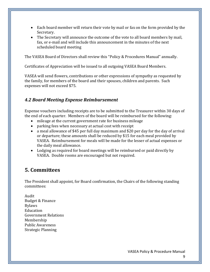- Each board member will return their vote by mail or fax on the form provided by the Secretary.
- The Secretary will announce the outcome of the vote to all board members by mail, fax, or e-mail and will include this announcement in the minutes of the next scheduled board meeting

The VASEA Board of Directors shall review this "Policy & Procedures Manual" annually.

Certificates of Appreciation will be issued to all outgoing VASEA Board Members.

VASEA will send flowers, contributions or other expressions of sympathy as requested by the family, for members of the board and their spouses, children and parents. Such expenses will not exceed \$75.

# *4.2 Board Meeting Expense Reimbursement*

Expense vouchers including receipts are to be submitted to the Treasurer within 30 days of the end of each quarter. Members of the board will be reimbursed for the following:

- mileage at the current government rate for business mileage
- parking fees when necessary at actual cost with receipt
- a meal allowance of \$45 per full day maximum and \$20 per day for the day of arrival or departure; these amounts shall be reduced by \$15 for each meal provided by VASEA. Reimbursement for meals will be made for the lesser of actual expenses or the daily meal allowance.
- Lodging as required for board meetings will be reimbursed or paid directly by VASEA. Double rooms are encouraged but not required.

# **5. Committees**

The President shall appoint, for Board confirmation, the Chairs of the following standing committees:

Audit Budget & Finance Bylaws Education Government Relations Membership Public Awareness Strategic Planning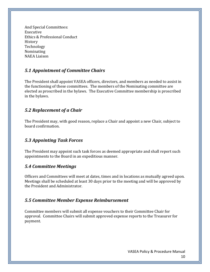And Special Committees: Executive Ethics & Professional Conduct History Technology Nominating NAEA Liaison

# *5.1 Appointment of Committee Chairs*

The President shall appoint VASEA officers, directors, and members as needed to assist in the functioning of these committees. The members of the Nominating committee are elected as proscribed in the bylaws. The Executive Committee membership is proscribed in the bylaws.

# *5.2 Replacement of a Chair*

The President may, with good reason, replace a Chair and appoint a new Chair, subject to board confirmation.

# *5.3 Appointing Task Forces*

The President may appoint such task forces as deemed appropriate and shall report such appointments to the Board in an expeditious manner.

#### *5.4 Committee Meetings*

Officers and Committees will meet at dates, times and in locations as mutually agreed upon. Meetings shall be scheduled at least 30 days prior to the meeting and will be approved by the President and Administrator.

#### *5.5 Committee Member Expense Reimbursement*

Committee members will submit all expense vouchers to their Committee Chair for approval. Committee Chairs will submit approved expense reports to the Treasurer for payment.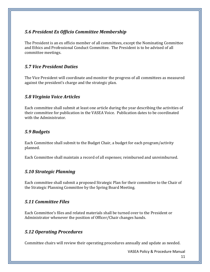## *5.6 President Ex Officio Committee Membership*

The President is an ex officio member of all committees, except the Nominating Committee and Ethics and Professional Conduct Committee. The President is to be advised of all committee meetings.

# *5.7 Vice President Duties*

The Vice President will coordinate and monitor the progress of all committees as measured against the president's charge and the strategic plan.

# *5.8 Virginia Voice Articles*

Each committee shall submit at least one article during the year describing the activities of their committee for publication in the VASEA Voice. Publication dates to be coordinated with the Administrator.

# *5.9 Budgets*

Each Committee shall submit to the Budget Chair, a budget for each program/activity planned.

Each Committee shall maintain a record of all expenses; reimbursed and unreimbursed.

# *5.10 Strategic Planning*

Each committee shall submit a proposed Strategic Plan for their committee to the Chair of the Strategic Planning Committee by the Spring Board Meeting.

# *5.11 Committee Files*

Each Committee's files and related materials shall be turned over to the President or Administrator whenever the position of Officer/Chair changes hands.

# *5.12 Operating Procedures*

Committee chairs will review their operating procedures annually and update as needed.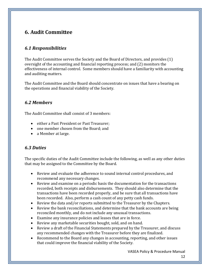# **6. Audit Committee**

## *6.1 Responsibilities*

The Audit Committee serves the Society and the Board of Directors, and provides (1) oversight of the accounting and financial reporting process; and (2) monitors the effectiveness of internal control. Some members should have a familiarity with accounting and auditing matters.

The Audit Committee and the Board should concentrate on issues that have a bearing on the operations and financial viability of the Society.

#### *6.2 Members*

The Audit Committee shall consist of 3 members:

- either a Past President or Past Treasurer;
- one member chosen from the Board; and
- a Member at large.

#### *6.3 Duties*

The specific duties of the Audit Committee include the following, as well as any other duties that may be assigned to the Committee by the Board.

- Review and evaluate the adherence to sound internal control procedures, and recommend any necessary changes.
- Review and examine on a periodic basis the documentation for the transactions recorded, both receipts and disbursements. They should also determine that the transactions have been recorded properly, and be sure that all transactions have been recorded. Also, perform a cash count of any petty cash funds.
- Review the data and/or reports submitted to the Treasurer by the Chapters.
- Review the bank reconciliations, and determine that the bank accounts are being reconciled monthly, and do not include any unusual transactions.
- Examine any insurance policies and leases that are in force.
- Review any marketable securities bought, sold, and on hand.
- Review a draft of the Financial Statements prepared by the Treasurer, and discuss any recommended changes with the Treasurer before they are finalized.
- Recommend to the Board any changes in accounting, reporting, and other issues that could improve the financial viability of the Society.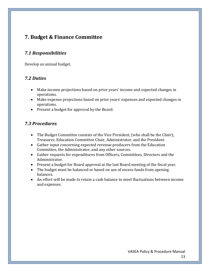# **7. Budget & Finance Committee**

#### *7.1 Responsibilities*

Develop an annual budget.

#### *7.2 Duties*

- Make income projections based on prior years' income and expected changes in operations.
- Make expense projections based on prior years' expenses and expected changes in operations.
- Present a budget for approval by the Board.

#### *7.3 Procedures*

- The Budget Committee consists of the Vice President, (who shall be the Chair), Treasurer, Education Committee Chair, Administrator, and the President.
- Gather input concerning expected revenue producers from the Education Committee, the Administrator, and any other sources.
- Gather requests for expenditures from Officers, Committees, Directors and the Administrator.
- Present a budget for Board approval at the last Board meeting of the fiscal year.
- The budget must be balanced or based on use of excess funds from opening balances.
- An effort will be made to retain a cash balance to meet fluctuations between income and expenses.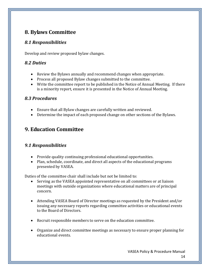# **8. Bylaws Committee**

# *8.1 Responsibilities*

Develop and review proposed bylaw changes.

## *8.2 Duties*

- Review the Bylaws annually and recommend changes when appropriate.
- Process all proposed Bylaw changes submitted to the committee.
- Write the committee report to be published in the Notice of Annual Meeting. If there is a minority report, ensure it is presented in the Notice of Annual Meeting.

# *8.3 Procedures*

- Ensure that all Bylaw changes are carefully written and reviewed.
- Determine the impact of each proposed change on other sections of the Bylaws.

# **9. Education Committee**

# *9.1 Responsibilities*

- Provide quality continuing professional educational opportunities.
- Plan, schedule, coordinate, and direct all aspects of the educational programs presented by VASEA.

Duties of the committee chair shall include but not be limited to:

- Serving as the VASEA appointed representative on all committees or at liaison meetings with outside organizations where educational matters are of principal concern.
- Attending VASEA Board of Director meetings as requested by the President and/or issuing any necessary reports regarding committee activities or educational events to the Board of Directors.
- Recruit responsible members to serve on the education committee.
- Organize and direct committee meetings as necessary to ensure proper planning for educational events.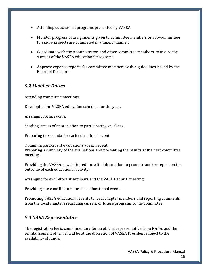- Attending educational programs presented by VASEA.
- Monitor progress of assignments given to committee members or sub‐committees to assure projects are completed in a timely manner.
- Coordinate with the Administrator, and other committee members, to insure the success of the VASEA educational programs.
- Approve expense reports for committee members within guidelines issued by the Board of Directors.

#### *9.2 Member Duties*

Attending committee meetings.

Developing the VASEA education schedule for the year.

Arranging for speakers.

Sending letters of appreciation to participating speakers.

Preparing the agenda for each educational event.

Obtaining participant evaluations at each event. Preparing a summary of the evaluations and presenting the results at the next committee meeting.

Providing the VASEA newsletter editor with information to promote and/or report on the outcome of each educational activity.

Arranging for exhibitors at seminars and the VASEA annual meeting.

Providing site coordinators for each educational event.

Promoting VASEA educational events to local chapter members and reporting comments from the local chapters regarding current or future programs to the committee.

#### *9.3 NAEA Representative*

The registration fee is complimentary for an official representative from NAEA, and the reimbursement of travel will be at the discretion of VASEA President subject to the availability of funds.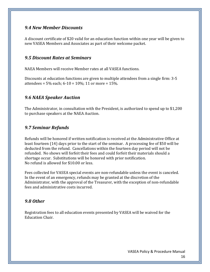#### *9.4 New Member Discounts*

A discount certificate of \$20 valid for an education function within one year will be given to new VASEA Members and Associates as part of their welcome packet.

#### *9.5 Discount Rates at Seminars*

NAEA Members will receive Member rates at all VASEA functions.

Discounts at education functions are given to multiple attendees from a single firm: 3‐5 attendees =  $5\%$  each;  $6 - 10 = 10\%$ ; 11 or more =  $15\%$ .

## *9.6 NAEA Speaker Auction*

The Administrator, in consultation with the President, is authorized to spend up to \$1,200 to purchase speakers at the NAEA Auction.

## *9.7 Seminar Refunds*

Refunds will be honored if written notification is received at the Administrative Office at least fourteen (14) days prior to the start of the seminar. A processing fee of \$50 will be deducted from the refund. Cancellations within the fourteen day period will not be refunded. No shows will forfeit their fees and could forfeit their materials should a shortage occur. Substitutions will be honored with prior notification. No refund is allowed for \$10.00 or less.

Fees collected for VASEA special events are non-refundable unless the event is canceled. In the event of an emergency, refunds may be granted at the discretion of the Administrator, with the approval of the Treasurer, with the exception of non‐refundable fees and administrative costs incurred.

#### *9.8 Other*

Registration fees to all education events presented by VASEA will be waived for the Education Chair.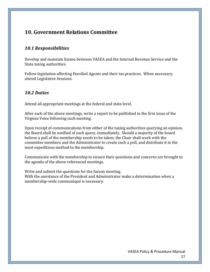# **10. Government Relations Committee**

#### *10.1 Responsibilities*

Develop and maintain liaison between VASEA and the Internal Revenue Service and the State taxing authorities.

Follow legislation affecting Enrolled Agents and their tax practices. When necessary, attend Legislative Sessions.

#### *10.2 Duties*

Attend all appropriate meetings at the federal and state level.

After each of the above meetings, write a report to be published in the first issue of the Virginia Voice following such meeting.

Upon receipt of communications from either of the taxing authorities querying an opinion, the Board shall be notified of such query, immediately. Should a majority of the board believe a poll of the membership needs to be taken; the Chair shall work with the committee members and the Administrator to create such a poll, and distribute it in the most expeditious method to the membership.

Communicate with the membership to ensure their questions and concerns are brought to the agenda of the above referenced meetings.

Write and submit the questions for the liaison meeting. With the assistance of the President and Administrator make a determination when a membership‐wide communiqué is necessary.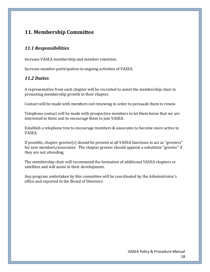# **11. Membership Committee**

## *11.1 Responsibilities*

Increase VASEA membership and member retention.

Increase member participation in ongoing activities of VASEA.

#### *11.2 Duties*

A representative from each chapter will be recruited to assist the membership chair in promoting membership growth in their chapter.

Contact will be made with members not renewing in order to persuade them to renew.

Telephone contact will be made with prospective members to let them know that we are interested in them and to encourage them to join VASEA.

Establish a telephone tree to encourage members & associates to become more active in VASEA.

If possible, chapter greeter(s) should be present at all VASEA functions to act as "greeters" for new members/associates. The chapter greeter should appoint a substitute "greeter" if they are not attending.

The membership chair will recommend the formation of additional VASEA chapters or satellites and will assist in their development.

Any program undertaken by this committee will be coordinated by the Administrator's office and reported to the Board of Directors.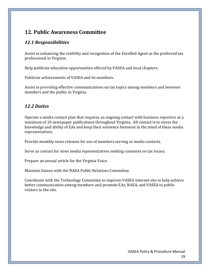# **12. Public Awareness Committee**

#### *12.1 Responsibilities*

Assist in enhancing the visibility and recognition of the Enrolled Agent as the preferred tax professional in Virginia.

Help publicize education opportunities offered by VASEA and local chapters.

Publicize achievements of VASEA and its members.

Assist in providing effective communications on tax topics among members and between members and the public in Virginia.

## *12.2 Duties*

Operate a media contact plan that requires an ongoing contact with business reporters at a minimum of 10 newspaper publications throughout Virginia. All contact is to stress the knowledge and ability of EAs and keep their existence foremost in the mind of these media representatives.

Provide monthly news releases for use of members serving as media contacts.

Serve as contact for news media representatives seeking comment on tax issues.

Prepare an annual article for the Virginia Voice.

Maintain liaison with the NAEA Public Relations Committee.

Coordinate with the Technology Committee to improve VASEA internet site to help achieve better communication among members and promote EAs, NAEA, and VASEA to public visitors to the site.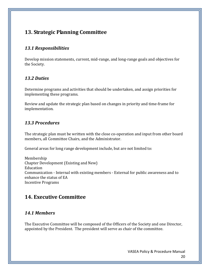# **13. Strategic Planning Committee**

## *13.1 Responsibilities*

Develop mission statements, current, mid‐range, and long‐range goals and objectives for the Society.

#### *13.2 Duties*

Determine programs and activities that should be undertaken, and assign priorities for implementing these programs.

Review and update the strategic plan based on changes in priority and time‐frame for implementation.

## *13.3 Procedures*

The strategic plan must be written with the close co-operation and input from other board members, all Committee Chairs, and the Administrator.

General areas for long range development include, but are not limited to:

Membership Chapter Development (Existing and New) Education Communication ‐ Internal with existing members ‐ External for public awareness and to enhance the status of EA Incentive Programs

# **14. Executive Committee**

#### *14.1 Members*

The Executive Committee will be composed of the Officers of the Society and one Director, appointed by the President. The president will serve as chair of the committee.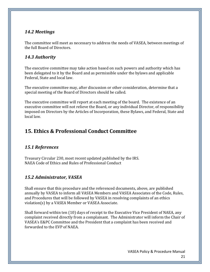## *14.2 Meetings*

The committee will meet as necessary to address the needs of VASEA, between meetings of the full Board of Directors.

# *14.3 Authority*

The executive committee may take action based on such powers and authority which has been delegated to it by the Board and as permissible under the bylaws and applicable Federal, State and local law.

The executive committee may, after discussion or other consideration, determine that a special meeting of the Board of Directors should be called.

The executive committee will report at each meeting of the board. The existence of an executive committee will not relieve the Board, or any individual Director, of responsibility imposed on Directors by the Articles of Incorporation, these Bylaws, and Federal, State and local law.

# **15. Ethics & Professional Conduct Committee**

# *15.1 References*

Treasury Circular 230, most recent updated published by the IRS. NAEA Code of Ethics and Rules of Professional Conduct

# *15.2 Administrator, VASEA*

Shall ensure that this procedure and the referenced documents, above, are published annually by VASEA to inform all VASEA Members and VASEA Associates of the Code, Rules, and Procedures that will be followed by VASEA in resolving complaints of an ethics violation(s) by a VASEA Member or VASEA Associate.

Shall forward within ten (10) days of receipt to the Executive Vice President of NAEA, any complaint received directly from a complainant. The Administrator will inform the Chair of VASEA's E&PC Committee and the President that a complaint has been received and forwarded to the EVP of NAEA.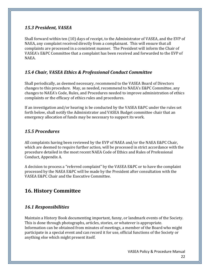#### *15.3 President, VASEA*

Shall forward within ten (10) days of receipt, to the Administrator of VASEA, and the EVP of NAEA, any complaint received directly from a complainant. This will ensure that all complaints are processed in a consistent manner. The President will inform the Chair of VASEA's E&PC Committee that a complaint has been received and forwarded to the EVP of NAEA.

## *15.4 Chair, VASEA Ethics & Professional Conduct Committee*

Shall periodically, as deemed necessary, recommend to the VASEA Board of Directors changes to this procedure. May, as needed, recommend to NAEA's E&PC Committee, any changes to NAEA's Code, Rules, and Procedures needed to improve administration of ethics complaints or the efficacy of ethics rules and procedures.

If an investigation and/or hearing is be conducted by the VASEA E&PC under the rules set forth below, shall notify the Administrator and VASEA Budget committee chair that an emergency allocation of funds may be necessary to support its work.

# *15.5 Procedures*

All complaints having been reviewed by the EVP of NAEA and/or the NAEA E&PC Chair, which are deemed to require further action, will be processed in strict accordance with the procedure detailed in the most recent NAEA Code of Ethics and Rules of Professional Conduct, Appendix A.

A decision to process a "referred complaint" by the VASEA E&PC or to have the complaint processed by the NAEA E&PC will be made by the President after consultation with the VASEA E&PC Chair and the Executive Committee.

# **16. History Committee**

# *16.1 Responsibilities*

Maintain a History Book documenting important, funny, or landmark events of the Society. This is done through photographs, articles, stories, or whatever is appropriate. Information can be obtained from minutes of meetings, a member of the Board who might participate in a special event and can record it for use, official functions of the Society or anything else which might present itself.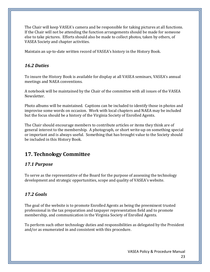The Chair will keep VASEA's camera and be responsible for taking pictures at all functions. If the Chair will not be attending the function arrangements should be made for someone else to take pictures. Efforts should also be made to collect photos, taken by others, of VASEA Society and chapter activities.

Maintain an up‐to‐date written record of VASEA's history in the History Book.

# *16.2 Duties*

To insure the History Book is available for display at all VASEA seminars, VASEA's annual meetings and NAEA conventions.

A notebook will be maintained by the Chair of the committee with all issues of the VASEA Newsletter.

Photo albums will be maintained. Captions can be included to identify those in photos and improvise some words on occasion. Work with local chapters and NAEA may be included but the focus should be a history of the Virginia Society of Enrolled Agents.

The Chair should encourage members to contribute articles or items they think are of general interest to the membership. A photograph, or short write‐up on something special or important and is always useful. Something that has brought value to the Society should be included in this History Book.

# **17. Technology Committee**

# *17.1 Purpose*

To serve as the representative of the Board for the purpose of assessing the technology development and strategic opportunities, scope and quality of VASEA's website.

# *17.2 Goals*

The goal of the website is to promote Enrolled Agents as being the preeminent trusted professional in the tax preparation and taxpayer representation field and to promote membership, and communication in the Virginia Society of Enrolled Agents.

To perform such other technology duties and responsibilities as delegated by the President and/or as enumerated in and consistent with this procedure.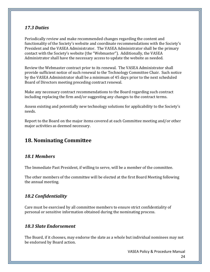#### *17.3 Duties*

Periodically review and make recommended changes regarding the content and functionality of the Society's website and coordinate recommendations with the Society's President and the VASEA Administrator. The VASEA Administrator shall be the primary contact with the Society's website (the "Webmaster"). Additionally, the VASEA Administrator shall have the necessary access to update the website as needed.

Review the Webmaster contract prior to its renewal. The VASEA Administrator shall provide sufficient notice of such renewal to the Technology Committee Chair. Such notice by the VASEA Administrator shall be a minimum of 45 days prior to the next scheduled Board of Directors meeting preceding contract renewal.

Make any necessary contract recommendations to the Board regarding such contract including replacing the firm and/or suggesting any changes to the contract terms.

Assess existing and potentially new technology solutions for applicability to the Society's needs.

Report to the Board on the major items covered at each Committee meeting and/or other major activities as deemed necessary.

# **18. Nominating Committee**

#### *18.1 Members*

The Immediate Past President, if willing to serve, will be a member of the committee.

The other members of the committee will be elected at the first Board Meeting following the annual meeting.

#### *18.2 Confidentiality*

Care must be exercised by all committee members to ensure strict confidentiality of personal or sensitive information obtained during the nominating process.

#### *18.3 Slate Endorsement*

The Board, if it chooses, may endorse the slate as a whole but individual nominees may not be endorsed by Board action.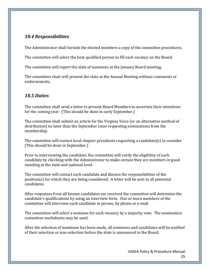### *18.4 Responsibilities*

The Administrator shall furnish the elected members a copy of the committee procedures.

The committee will select the best-qualified person to fill each vacancy on the Board.

The committee will report the slate of nominees at the January Board meeting.

The committee chair will present the slate at the Annual Meeting without comments or endorsements.

# *18.5 Duties*

The committee shall send a letter to present Board Members to ascertain their intentions for the coming year. (This should be done in early September.)

The committee shall submit an article for the Virginia Voice (or an alternative method of distribution) no later than the September issue requesting nominations from the membership.

The committee will contact local chapter presidents requesting a candidate(s) to consider. (This should be done in September.)

Prior to interviewing the candidate, the committee will verify the eligibility of each candidate by checking with the Administrator to make certain they are members in good standing at the state and national level.

The committee will contact each candidate and discuss the responsibilities of the position(s) for which they are being considered. A letter will be sent to all potential candidates.

After responses from all known candidates are received the committee will determine the candidate's qualifications by using an interview form. One or more members of the committee will interview each candidate in person, by phone or e‐mail.

The committee will select a nominee for each vacancy by a majority vote. The nomination committee worksheets may be used.

After the selection of nominees has been made, all nominees and candidates will be notified of their selection or non‐selection before the slate is announced to the Board.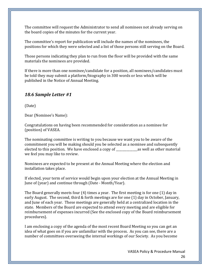The committee will request the Administrator to send all nominees not already serving on the board copies of the minutes for the current year.

The committee's report for publication will include the names of the nominees, the positions for which they were selected and a list of those persons still serving on the Board.

Those persons indicating they plan to run from the floor will be provided with the same materials the nominees are provided.

If there is more than one nominee/candidate for a position, all nominees/candidates must be told they may submit a platform/biography in 300 words or less which will be published in the Notice of Annual Meeting.

## *18.6 Sample Letter #1*

(Date)

Dear (Nominee's Name):

Congratulations on having been recommended for consideration as a nominee for (position) of VASEA.

The nominating committee is writing to you because we want you to be aware of the commitment you will be making should you be selected as a nominee and subsequently elected to this position. We have enclosed a copy of \_\_\_\_\_\_\_\_\_\_\_\_\_\_as well as other material we feel you may like to review.

Nominees are expected to be present at the Annual Meeting where the election and installation takes place.

If elected, your term of service would begin upon your election at the Annual Meeting in June of (year) and continue through (Date ‐ Month/Year).

The Board generally meets four (4) times a year. The first meeting is for one (1) day in early August. The second, third & forth meetings are for one (1) day in October, January, and June of each year. These meetings are generally held at a centralized location in the state. Members of the Board are expected to attend every meeting and are eligible for reimbursement of expenses incurred (See the enclosed copy of the Board reimbursement procedures).

I am enclosing a copy of the agenda of the most recent Board Meeting so you can get an idea of what goes on if you are unfamiliar with the process. As you can see, there are a number of committees overseeing the internal workings of our Society. As you become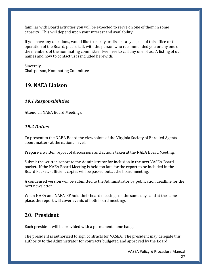familiar with Board activities you will be expected to serve on one of them in some capacity. This will depend upon your interest and availability.

If you have any questions, would like to clarify or discuss any aspect of this office or the operation of the Board, please talk with the person who recommended you or any one of the members of the nominating committee. Feel free to call any one of us. A listing of our names and how to contact us is included herewith.

Sincerely, Chairperson, Nominating Committee

# **19. NAEA Liaison**

## *19.1 Responsibilities*

Attend all NAEA Board Meetings.

## *19.2 Duties*

To present to the NAEA Board the viewpoints of the Virginia Society of Enrolled Agents about matters at the national level.

Prepare a written report of discussions and actions taken at the NAEA Board Meeting.

Submit the written report to the Administrator for inclusion in the next VASEA Board packet. If the NAEA Board Meeting is held too late for the report to be included in the Board Packet, sufficient copies will be passed out at the board meeting.

A condensed version will be submitted to the Administrator by publication deadline for the next newsletter.

When NAEA and NAEA‐EF hold their board meetings on the same days and at the same place, the report will cover events of both board meetings.

# **20. President**

Each president will be provided with a permanent name badge.

The president is authorized to sign contracts for VASEA. The president may delegate this authority to the Administrator for contracts budgeted and approved by the Board.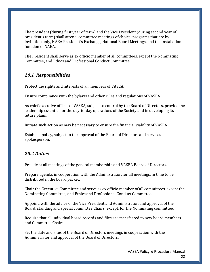The president (during first year of term) and the Vice President (during second year of president's term) shall attend, committee meetings of choice, programs that are by invitation only, NAEA President's Exchange, National Board Meetings, and the installation function of NAEA.

The President shall serve as ex officio member of all committees, except the Nominating Committee, and Ethics and Professional Conduct Committee.

#### *20.1 Responsibilities*

Protect the rights and interests of all members of VASEA.

Ensure compliance with the bylaws and other rules and regulations of VASEA.

As chief executive officer of VASEA, subject to control by the Board of Directors, provide the leadership essential for the day-to-day operations of the Society and in developing its future plans.

Initiate such action as may be necessary to ensure the financial viability of VASEA.

Establish policy, subject to the approval of the Board of Directors and serve as spokesperson.

#### *20.2 Duties*

Preside at all meetings of the general membership and VASEA Board of Directors.

Prepare agenda, in cooperation with the Administrator, for all meetings, in time to be distributed in the board packet.

Chair the Executive Committee and serve as ex officio member of all committees, except the Nominating Committee, and Ethics and Professional Conduct Committee.

Appoint, with the advice of the Vice President and Administrator, and approval of the Board, standing and special committee Chairs; except, for the Nominating committee.

Require that all individual board records and files are transferred to new board members and Committee Chairs.

Set the date and sites of the Board of Directors meetings in cooperation with the Administrator and approval of the Board of Directors.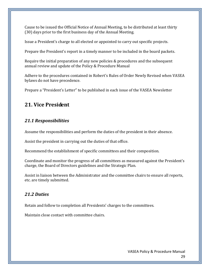Cause to be issued the Official Notice of Annual Meeting, to be distributed at least thirty (30) days prior to the first business day of the Annual Meeting.

Issue a President's charge to all elected or appointed to carry out specific projects.

Prepare the President's report in a timely manner to be included in the board packets.

Require the initial preparation of any new policies & procedures and the subsequent annual review and update of the Policy & Procedure Manual

Adhere to the procedures contained in Robert's Rules of Order Newly Revised when VASEA bylaws do not have precedence.

Prepare a "President's Letter" to be published in each issue of the VASEA Newsletter

# **21. Vice President**

# *21.1 Responsibilities*

Assume the responsibilities and perform the duties of the president in their absence.

Assist the president in carrying out the duties of that office.

Recommend the establishment of specific committees and their composition.

Coordinate and monitor the progress of all committees as measured against the President's charge, the Board of Directors guidelines and the Strategic Plan.

Assist in liaison between the Administrator and the committee chairs to ensure all reports, etc. are timely submitted.

# *21.2 Duties*

Retain and follow to completion all Presidents' charges to the committees.

Maintain close contact with committee chairs.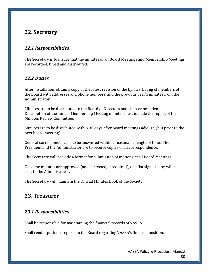# **22. Secretary**

## *22.1 Responsibilities*

The Secretary is to insure that the minutes of all Board Meetings and Membership Meetings are recorded, typed and distributed.

#### *22.2 Duties*

After installation, obtain a copy of the latest revision of the bylaws, listing of members of the Board with addresses and phone numbers, and the previous year's minutes from the Administrator.

Minutes are to be distributed to the Board of Directors and chapter presidents. Distribution of the annual Membership Meeting minutes must include the report of the Minutes Review Committee.

Minutes are to be distributed within 30 days after board meetings adjourn (but prior to the next board meeting).

General correspondence is to be answered within a reasonable length of time. The President and the Administrator are to receive copies of all correspondence.

The Secretary will provide a format for submission of motions at all Board Meetings.

Once the minutes are approved (and corrected, if required), one flat signed copy will be sent to the Administrator.

The Secretary will maintain the Official Minutes Book of the Society.

# **23. Treasurer**

# *23.1 Responsibilities*

Shall be responsible for maintaining the financial records of VASEA.

Shall render periodic reports to the Board regarding VASEA's financial position.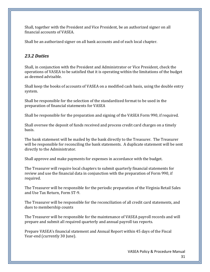Shall, together with the President and Vice President, be an authorized signer on all financial accounts of VASEA.

Shall be an authorized signer on all bank accounts and of each local chapter.

#### *23.2 Duties*

Shall, in conjunction with the President and Administrator or Vice President, check the operations of VASEA to be satisfied that it is operating within the limitations of the budget as deemed advisable.

Shall keep the books of accounts of VASEA on a modified cash basis, using the double entry system.

Shall be responsible for the selection of the standardized format to be used in the preparation of financial statements for VASEA

Shall be responsible for the preparation and signing of the VASEA Form 990, if required.

Shall oversee the deposit of funds received and process credit card charges on a timely basis.

The bank statement will be mailed by the bank directly to the Treasurer. The Treasurer will be responsible for reconciling the bank statements. A duplicate statement will be sent directly to the Administrator.

Shall approve and make payments for expenses in accordance with the budget.

The Treasurer will require local chapters to submit quarterly financial statements for review and use the financial data in conjunction with the preparation of Form 990, if required.

The Treasurer will be responsible for the periodic preparation of the Virginia Retail Sales and Use Tax Return, Form ST‐9.

The Treasurer will be responsible for the reconciliation of all credit card statements, and dues to membership counts

The Treasurer will be responsible for the maintenance of VASEA payroll records and will prepare and submit all required quarterly and annual payroll tax reports.

Prepare VASEA's financial statement and Annual Report within 45 days of the Fiscal Year-end (currently 30 June).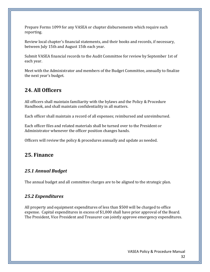Prepare Forms 1099 for any VASEA or chapter disbursements which require such reporting.

Review local chapter's financial statements, and their books and records, if necessary, between July 15th and August 15th each year.

Submit VASEA financial records to the Audit Committee for review by September 1st of each year.

Meet with the Administrator and members of the Budget Committee, annually to finalize the next year's budget.

# **24. All Officers**

All officers shall maintain familiarity with the bylaws and the Policy & Procedure Handbook, and shall maintain confidentiality in all matters.

Each officer shall maintain a record of all expenses; reimbursed and unreimbursed.

Each officer files and related materials shall be turned over to the President or Administrator whenever the officer position changes hands.

Officers will review the policy & procedures annually and update as needed.

# **25. Finance**

#### *25.1 Annual Budget*

The annual budget and all committee charges are to be aligned to the strategic plan.

#### *25.2 Expenditures*

All property and equipment expenditures of less than \$500 will be charged to office expense. Capital expenditures in excess of \$1,000 shall have prior approval of the Board. The President, Vice President and Treasurer can jointly approve emergency expenditures.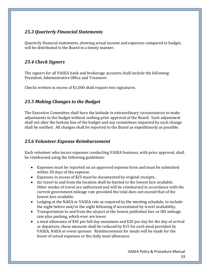# *25.3 Quarterly Financial Statements*

Quarterly financial statements, showing actual income and expenses compared to budget, will be distributed to the Board in a timely manner.

# *25.4 Check Signers*

The signers for all VASEA bank and brokerage accounts shall include the following: President, Administrative Office and Treasurer.

Checks written in excess of \$1,000 shall require two signatures.

# *25.5 Making Changes to the Budget*

The Executive Committee shall have the latitude in extraordinary circumstances to make adjustments to the budget without seeking prior approval of the Board. Such adjustment shall not alter the bottom line of the budget and any committees impacted by such change shall be notified. All changes shall be reported to the Board as expeditiously as possible.

#### *25.6 Volunteer Expense Reimbursement*

Each volunteer who incurs expenses conducting VASEA business, with prior approval, shall be reimbursed using the following guidelines:

- Expenses must be reported on an approved expense form and must be submitted within 30 days of the expense.
- Expenses in excess of \$25 must be documented by original receipts.
- Air travel to and from the location shall be limited to the lowest fare available. Other modes of travel are authorized and will be reimbursed in accordance with the current government mileage rate provided the total does not exceed that of the lowest fare available.
- Lodging at the NAEA or VASEA rate as required by the meeting schedule, to include the night before and/or the night following if necessitated by travel availability.
- Transportation to and from the airport at the lowest published fare or IRS mileage rate plus parking, which ever are lower.
- a meal allowance of \$45 per full day maximum and \$20 per day for the day of arrival or departure; these amounts shall be reduced by \$15 for each meal provided by VASEA, NAEA or event sponsor. Reimbursement for meals will be made for the lesser of actual expenses or the daily meal allowance.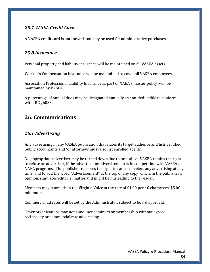# *25.7 VASEA Credit Card*

A VASEA credit card is authorized and may be used for administrative purchases.

#### *25.8 Insurance*

Personal property and liability insurance will be maintained on all VASEA assets.

Worker's Compensation insurance will be maintained to cover all VASEA employees.

Association Professional Liability Insurance as part of NAEA's master policy, will be maintained by VASEA.

A percentage of annual dues may be designated annually as non‐deductible to conform with IRC §6033.

# **26. Communications**

#### *26.1 Advertising*

Any advertising in any VASEA publication that states its target audience and lists certified public accountants and/or attorneys must also list enrolled agents.

No appropriate advertiser may be turned down due to prejudice. VASEA retains the right to refuse an advertiser, if the advertiser or advertisement is in competition with VASEA or NAEA programs. The publisher reserves the right to cancel or reject any advertising at any time, and to add the word "Advertisement" at the top of any copy which, in the publisher's opinion, simulates editorial matter and might be misleading to the reader.

Members may place ads in the Virginia Voice at the rate of \$1.00 per 40 characters; \$5.00 minimum.

Commercial ad rates will be set by the Administrator, subject to board approval.

Other organizations may not announce seminars or membership without agreed reciprocity or commercial rate advertising.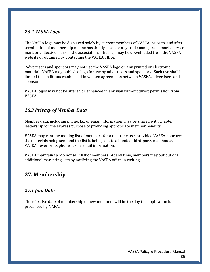#### *26.2 VASEA Logo*

The VASEA logo may be displayed solely by current members of VASEA; prior to, and after termination of membership no one has the right to use any trade name, trade mark, service mark or collective mark of the association. The logo may be downloaded from the VASEA website or obtained by contacting the VASEA office.

 Advertisers and sponsors may not use the VASEA logo on any printed or electronic material. VASEA may publish a logo for use by advertisers and sponsors. Such use shall be limited to conditions established in written agreements between VASEA, advertisers and sponsors.

VASEA logos may not be altered or enhanced in any way without direct permission from VASEA.

## *26.3 Privacy of Member Data*

Member data, including phone, fax or email information, may be shared with chapter leadership for the express purpose of providing appropriate member benefits.

VASEA may rent the mailing list of members for a one‐time use, provided VASEA approves the materials being sent and the list is being sent to a bonded third‐party mail house. VASEA never rents phone, fax or email information.

VASEA maintains a "do not sell" list of members. At any time, members may opt out of all additional marketing lists by notifying the VASEA office in writing.

# **27. Membership**

# *27.1 Join Date*

The effective date of membership of new members will be the day the application is processed by NAEA.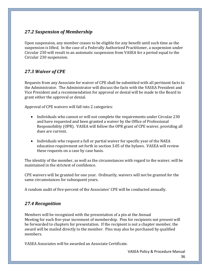# *27.2 Suspension of Membership*

Upon suspension, any member ceases to be eligible for any benefit until such time as the suspension is lifted. In the case of a Federally Authorized Practitioner, a suspension under Circular 230 will result in an automatic suspension from VASEA for a period equal to the Circular 230 suspension.

# *27.3 Waiver of CPE*

Requests from any Associate for waiver of CPE shall be submitted with all pertinent facts to the Administrator. The Administrator will discuss the facts with the VASEA President and Vice President and a recommendation for approval or denial will be made to the Board to grant either the approval or denial.

Approval of CPE waivers will fall into 2 categories:

- Individuals who cannot or will not complete the requirements under Circular 230 and have requested and been granted a waiver by the Office of Professional Responsibility (OPR). VASEA will follow the OPR grant of CPE waiver, providing all dues are current.
- Individuals who request a full or partial waiver for specific year of the NAEA education requirement set forth in section 3.05 of the bylaws. VASEA will review these requests on a case by case basis.

The identity of the member, as well as the circumstances with regard to the waiver, will be maintained in the strictest of confidence.

CPE waivers will be granted for one year. Ordinarily, waivers will not be granted for the same circumstances for subsequent years.

A random audit of five‐percent of the Associates' CPE will be conducted annually.

#### *27.4 Recognition*

Members will be recognized with the presentation of a pin at the Annual Meeting for each five‐year increment of membership. Pins for recipients not present will be forwarded to chapters for presentation. If the recipient is not a chapter member, the award will be mailed directly to the member. Pins may also be purchased by qualified members.

VASEA Associates will be awarded an Associate Certificate.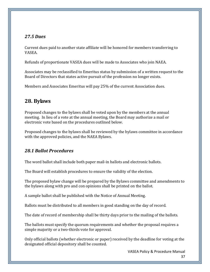#### *27.5 Dues*

Current dues paid to another state affiliate will be honored for members transferring to VASEA.

Refunds of proportionate VASEA dues will be made to Associates who join NAEA.

Associates may be reclassified to Emeritus status by submission of a written request to the Board of Directors that states active pursuit of the profession no longer exists.

Members and Associates Emeritus will pay 25% of the current Association dues.

# **28. Bylaws**

Proposed changes to the bylaws shall be voted upon by the members at the annual meeting. In lieu of a vote at the annual meeting, the Board may authorize a mail or electronic vote based on the procedures outlined below.

Proposed changes to the bylaws shall be reviewed by the bylaws committee in accordance with the approved policies, and the NAEA Bylaws.

#### *28.1 Ballot Procedures*

The word ballot shall include both paper mail‐in ballots and electronic ballots.

The Board will establish procedures to ensure the validity of the election.

The proposed bylaw change will be prepared by the Bylaws committee and amendments to the bylaws along with pro and con opinions shall be printed on the ballot.

A sample ballot shall be published with the Notice of Annual Meeting.

Ballots must be distributed to all members in good standing on the day of record.

The date of record of membership shall be thirty days prior to the mailing of the ballots.

The ballots must specify the quorum requirements and whether the proposal requires a simple majority or a two-thirds vote for approval.

Only official ballots (whether electronic or paper) received by the deadline for voting at the designated official depository shall be counted.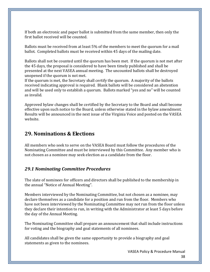If both an electronic and paper ballot is submitted from the same member, then only the first ballot received will be counted.

Ballots must be received from at least 5% of the members to meet the quorum for a mail ballot. Completed ballots must be received within 45 days of the mailing date.

Ballots shall not be counted until the quorum has been met. If the quorum is not met after the 45 days, the proposal is considered to have been timely published and shall be presented at the next VASEA annual meeting. The uncounted ballots shall be destroyed unopened if the quorum is not met.

If the quorum is met, the Secretary shall certify the quorum. A majority of the ballots received indicating approval is required. Blank ballots will be considered an abstention and will be used only to establish a quorum. Ballots marked "yes and no" will be counted as invalid.

Approved bylaw changes shall be certified by the Secretary to the Board and shall become effective upon such notice to the Board, unless otherwise stated in the bylaw amendment. Results will be announced in the next issue of the Virginia Voice and posted on the VASEA website.

# **29. Nominations & Elections**

All members who seek to serve on the VASEA Board must follow the procedures of the Nominating Committee and must be interviewed by this Committee. Any member who is not chosen as a nominee may seek election as a candidate from the floor.

#### *29.1 Nominating Committee Procedures*

The slate of nominees for officers and directors shall be published to the membership in the annual "Notice of Annual Meeting".

Members interviewed by the Nominating Committee, but not chosen as a nominee, may declare themselves as a candidate for a position and run from the floor. Members who have not been interviewed by the Nominating Committee may not run from the floor unless they declare their intention to run, in writing with the Administrator at least 5 days before the day of the Annual Meeting.

The Nominating Committee shall prepare an announcement that shall include instructions for voting and the biography and goal statements of all nominees.

All candidates shall be given the same opportunity to provide a biography and goal statements as given to the nominees.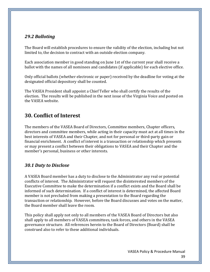### *29.2 Balloting*

The Board will establish procedures to ensure the validity of the election, including but not limited to, the decision to contract with an outside election company.

Each association member in good standing on June 1st of the current year shall receive a ballot with the names of all nominees and candidates (if applicable) for each elective office.

Only official ballots (whether electronic or paper) received by the deadline for voting at the designated official depository shall be counted.

The VASEA President shall appoint a Chief Teller who shall certify the results of the election. The results will be published in the next issue of the Virginia Voice and posted on the VASEA website.

# **30. Conflict of Interest**

The members of the VASEA Board of Directors, Committee members, Chapter officers, directors and committee members, while acting in their capacity must act at all times in the best interests of VASEA and their Chapter, and not for personal or third‐party gain or financial enrichment. A conflict of interest is a transaction or relationship which presents or may present a conflict between their obligations to VASEA and their Chapter and the member's personal, business or other interests.

#### *30.1 Duty to Disclose*

A VASEA Board member has a duty to disclose to the Administrator any real or potential conflicts of interest. The Administrator will request the disinterested members of the Executive Committee to make the determination if a conflict exists and the Board shall be informed of such determination. If a conflict of interest is determined, the affected Board member is not precluded from making a presentation to the Board regarding the transaction or relationship. However, before the Board discusses and votes on the matter, the Board member shall leave the room.

This policy shall apply not only to all members of the VASEA Board of Directors but also shall apply to all members of VASEA committees, task forces, and others in the VASEA governance structure. All references herein to the Board of Directors (Board) shall be construed also to refer to these additional individuals.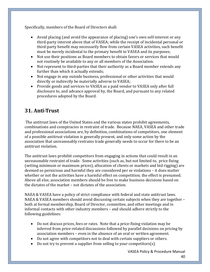Specifically, members of the Board of Directors shall:

- Avoid placing (and avoid the appearance of placing) one's own self-interest or any third‐party interest above that of VASEA; while the receipt of incidental personal or third‐party benefit may necessarily flow from certain VASEA activities, such benefit must be merely incidental to the primary benefit to VASEA and its purposes;
- Not use their positions as Board members to obtain favors or services that would not routinely be available to any or all members of the Association.
- Not represent to third-parties that their authority as a Board member extends any further than which it actually extends;
- Not engage in any outside business, professional or other activities that would directly or indirectly be materially adverse to VASEA;
- Provide goods and services to VASEA as a paid vendor to VASEA only after full disclosure to, and advance approval by, the Board, and pursuant to any related procedures adopted by the Board.

# **31. Anti‐Trust**

 The antitrust laws of the United States and the various states prohibit agreements, combinations and conspiracies in restraint of trade. Because NAEA, VASEA and other trade and professional associations are, by definition, combinations of competitors, one element of a possible antitrust violation is generally present, and only some action by the association that unreasonably restrains trade generally needs to occur for there to be an antitrust violation.

The antitrust laws prohibit competitors from engaging in actions that could result in an unreasonable restraint of trade. Some activities (such as, but not limited to, price fixing (setting minimum or maximum prices), allocation of clients or markets and bid rigging) are deemed so pernicious and harmful they are considered per se violations – it does matter whether or not the activities have a harmful effect on competition; the effect is presumed. Above all else, association members should be free to make business decisions based on the dictates of the market – not dictates of the association.

NAEA & VASEA have a policy of strict compliance with federal and state antitrust laws. NAEA & VASEA members should avoid discussing certain subjects when they are together – both at formal membership, Board of Director, committee, and other meetings and in informal contacts with other industry members – and should adhere strictly to the following guidelines:

- Do not discuss prices, fees or rates. Note that a price-fixing violation may be inferred from price-related discussions followed by parallel decisions on pricing by association members – even in the absence of an oral or written agreement.
- Do not agree with competitors not to deal with certain suppliers or others.
- Do not try to prevent a supplier from selling to your competitors(s).